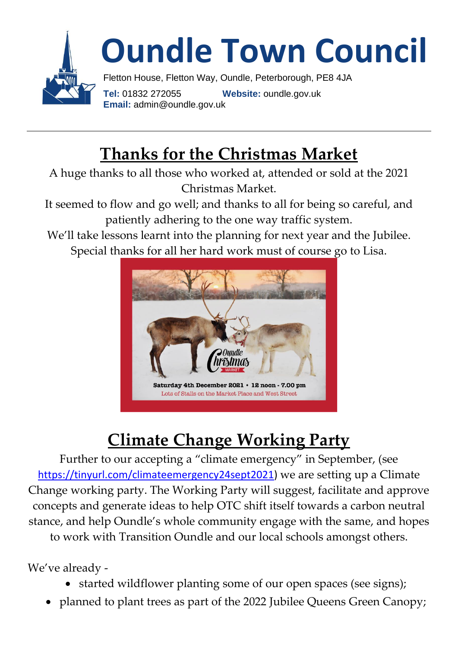

## **Thanks for the Christmas Market**

A huge thanks to all those who worked at, attended or sold at the 2021 Christmas Market.

It seemed to flow and go well; and thanks to all for being so careful, and patiently adhering to the one way traffic system.

We'll take lessons learnt into the planning for next year and the Jubilee. Special thanks for all her hard work must of course go to Lisa.



# **Climate Change Working Party**

Further to our accepting a "climate emergency" in September, (see [https://tinyurl.com/climateemergency24sept2021\)](https://tinyurl.com/climateemergency24sept2021) we are setting up a Climate Change working party. The Working Party will suggest, facilitate and approve concepts and generate ideas to help OTC shift itself towards a carbon neutral stance, and help Oundle's whole community engage with the same, and hopes to work with Transition Oundle and our local schools amongst others.

We've already -

- started wildflower planting some of our open spaces (see signs);
- planned to plant trees as part of the 2022 Jubilee Queens Green Canopy;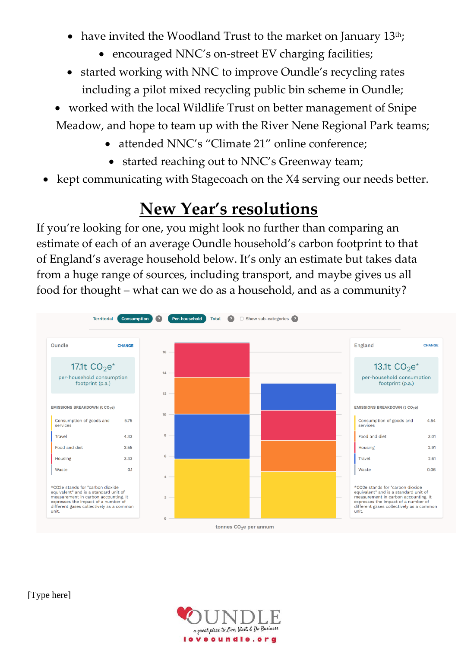- have invited the Woodland Trust to the market on January 13<sup>th</sup>;
	- encouraged NNC's on-street EV charging facilities;
- started working with NNC to improve Oundle's recycling rates including a pilot mixed recycling public bin scheme in Oundle;
- worked with the local Wildlife Trust on better management of Snipe Meadow, and hope to team up with the River Nene Regional Park teams;
	- attended NNC's "Climate 21" online conference;
		- started reaching out to NNC's Greenway team;
- kept communicating with Stagecoach on the X4 serving our needs better.

#### **New Year's resolutions**

If you're looking for one, you might look no further than comparing an estimate of each of an average Oundle household's carbon footprint to that of England's average household below. It's only an estimate but takes data from a huge range of sources, including transport, and maybe gives us all food for thought – what can we do as a household, and as a community?